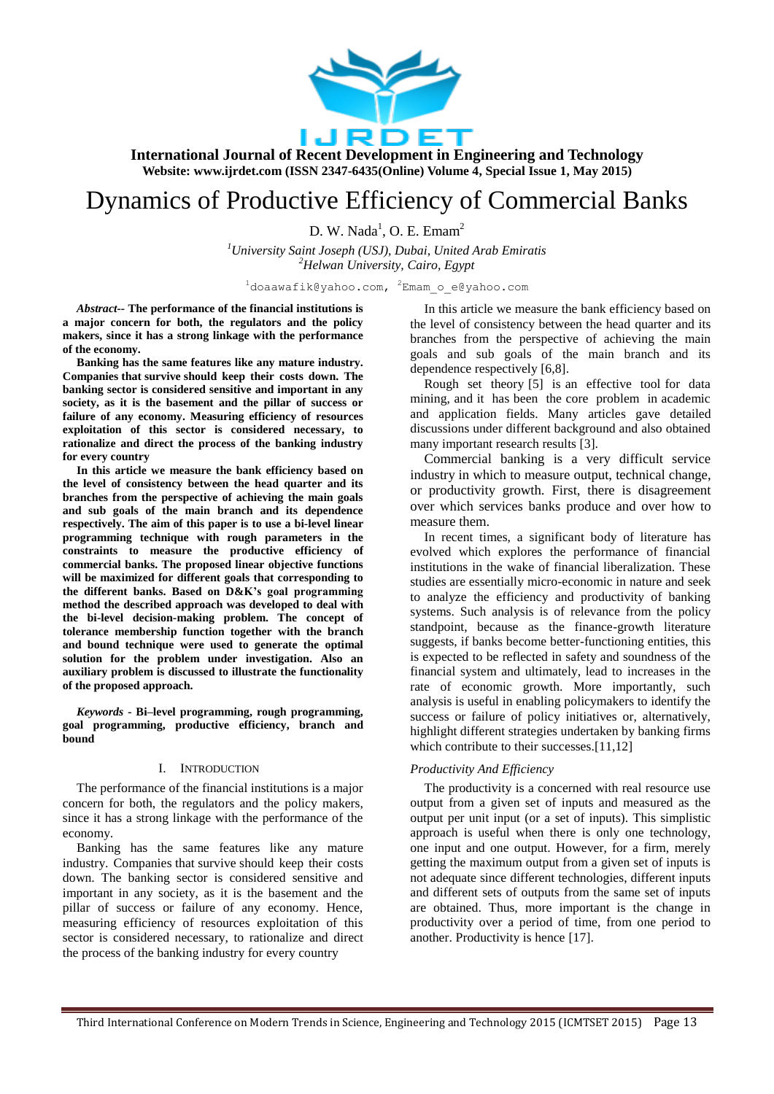

# Dynamics of Productive Efficiency of Commercial Banks

 $D.$  W. Nada<sup>1</sup>, O. E. Emam<sup>2</sup>

*<sup>1</sup>University Saint Joseph (USJ), Dubai, United Arab Emiratis <sup>2</sup>Helwan University, Cairo, Egypt*

 $1$ doaawafik@yahoo.com,  $2$ Emam o e@yahoo.com

*Abstract--* **The performance of the financial institutions is a major concern for both, the regulators and the policy makers, since it has a strong linkage with the performance of the economy.**

**Banking has the same features like any mature industry. Companies that survive should keep their costs down. The banking sector is considered sensitive and important in any society, as it is the basement and the pillar of success or failure of any economy. Measuring efficiency of resources exploitation of this sector is considered necessary, to rationalize and direct the process of the banking industry for every country**

**In this article we measure the bank efficiency based on the level of consistency between the head quarter and its branches from the perspective of achieving the main goals and sub goals of the main branch and its dependence respectively. The aim of this paper is to use a bi-level linear programming technique with rough parameters in the constraints to measure the productive efficiency of commercial banks. The proposed linear objective functions will be maximized for different goals that corresponding to the different banks. Based on D&K's goal programming method the described approach was developed to deal with the bi-level decision-making problem. The concept of tolerance membership function together with the branch and bound technique were used to generate the optimal solution for the problem under investigation. Also an auxiliary problem is discussed to illustrate the functionality of the proposed approach.**

*Keywords -* **Bi–level programming, rough programming, goal programming, productive efficiency, branch and bound**

#### I. INTRODUCTION

The performance of the financial institutions is a major concern for both, the regulators and the policy makers, since it has a strong linkage with the performance of the economy.

Banking has the same features like any mature industry. Companies that survive should keep their costs down. The banking sector is considered sensitive and important in any society, as it is the basement and the pillar of success or failure of any economy. Hence, measuring efficiency of resources exploitation of this sector is considered necessary, to rationalize and direct the process of the banking industry for every country

In this article we measure the bank efficiency based on the level of consistency between the head quarter and its branches from the perspective of achieving the main goals and sub goals of the main branch and its dependence respectively [6,8].

Rough set theory [5] is an effective tool for data mining, and it has been the core problem in academic and application fields. Many articles gave detailed discussions under different background and also obtained many important research results [3].

Commercial banking is a very difficult service industry in which to measure output, technical change, or productivity growth. First, there is disagreement over which services banks produce and over how to measure them.

In recent times, a significant body of literature has evolved which explores the performance of financial institutions in the wake of financial liberalization. These studies are essentially micro-economic in nature and seek to analyze the efficiency and productivity of banking systems. Such analysis is of relevance from the policy standpoint, because as the finance-growth literature suggests, if banks become better-functioning entities, this is expected to be reflected in safety and soundness of the financial system and ultimately, lead to increases in the rate of economic growth. More importantly, such analysis is useful in enabling policymakers to identify the success or failure of policy initiatives or, alternatively, highlight different strategies undertaken by banking firms which contribute to their successes.[11,12]

#### *Productivity And Efficiency*

The productivity is a concerned with real resource use output from a given set of inputs and measured as the output per unit input (or a set of inputs). This simplistic approach is useful when there is only one technology, one input and one output. However, for a firm, merely getting the maximum output from a given set of inputs is not adequate since different technologies, different inputs and different sets of outputs from the same set of inputs are obtained. Thus, more important is the change in productivity over a period of time, from one period to another. Productivity is hence [17].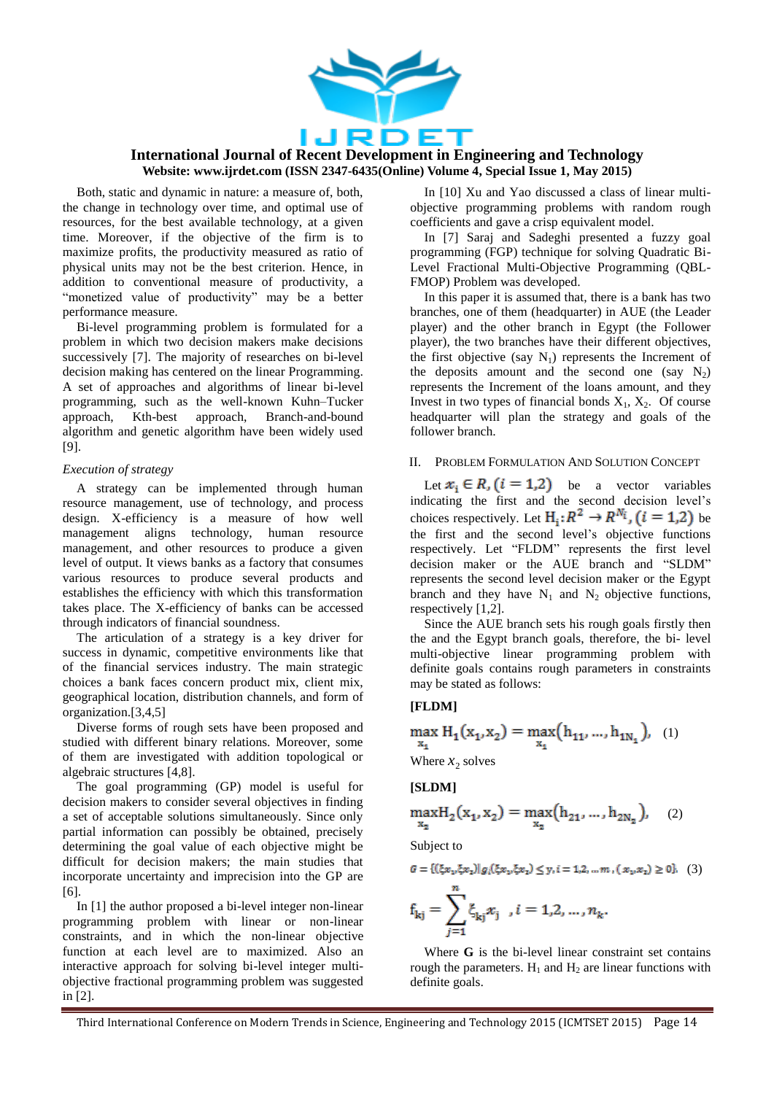

Both, static and dynamic in nature: a measure of, both, the change in technology over time, and optimal use of resources, for the best available technology, at a given time. Moreover, if the objective of the firm is to maximize profits, the productivity measured as ratio of physical units may not be the best criterion. Hence, in addition to conventional measure of productivity, a "monetized value of productivity" may be a better performance measure.

Bi-level programming problem is formulated for a problem in which two decision makers make decisions successively [7]. The majority of researches on bi-level decision making has centered on the linear Programming. A set of approaches and algorithms of linear bi-level programming, such as the well-known Kuhn–Tucker approach, Kth-best approach, Branch-and-bound algorithm and genetic algorithm have been widely used [9].

### *Execution of strategy*

A strategy can be implemented through human resource management, use of technology, and process design. X-efficiency is a measure of how well management aligns technology, human resource management, and other resources to produce a given level of output. It views banks as a factory that consumes various resources to produce several products and establishes the efficiency with which this transformation takes place. The X-efficiency of banks can be accessed through indicators of financial soundness.

The articulation of a strategy is a key driver for success in dynamic, competitive environments like that of the financial services industry. The main strategic choices a bank faces concern product mix, client mix, geographical location, distribution channels, and form of organization.[3,4,5]

Diverse forms of rough sets have been proposed and studied with different binary relations. Moreover, some of them are investigated with addition topological or algebraic structures [4,8].

The goal programming (GP) model is useful for decision makers to consider several objectives in finding a set of acceptable solutions simultaneously. Since only partial information can possibly be obtained, precisely determining the goal value of each objective might be difficult for decision makers; the main studies that incorporate uncertainty and imprecision into the GP are [6].

In [1] the author proposed a bi-level integer non-linear programming problem with linear or non-linear constraints, and in which the non-linear objective function at each level are to maximized. Also an interactive approach for solving bi-level integer multiobjective fractional programming problem was suggested in [2].

In [10] Xu and Yao discussed a class of linear multiobjective programming problems with random rough coefficients and gave a crisp equivalent model.

In [7] Saraj and Sadeghi presented a fuzzy goal programming (FGP) technique for solving Quadratic Bi-Level Fractional Multi-Objective Programming (QBL-FMOP) Problem was developed.

In this paper it is assumed that, there is a bank has two branches, one of them (headquarter) in AUE (the Leader player) and the other branch in Egypt (the Follower player), the two branches have their different objectives, the first objective (say  $N_1$ ) represents the Increment of the deposits amount and the second one  $(say \ N_2)$ represents the Increment of the loans amount, and they Invest in two types of financial bonds  $X_1$ ,  $X_2$ . Of course headquarter will plan the strategy and goals of the follower branch.

# II. PROBLEM FORMULATION AND SOLUTION CONCEPT

Let  $x_i \in R$ ,  $(i = 1,2)$  be a vector variables indicating the first and the second decision level's choices respectively. Let  $H_i: R^2 \rightarrow R^{N_i}$ ,  $(i = 1,2)$  be the first and the second level's objective functions respectively. Let "FLDM" represents the first level decision maker or the AUE branch and "SLDM" represents the second level decision maker or the Egypt branch and they have  $N_1$  and  $N_2$  objective functions, respectively [1,2].

Since the AUE branch sets his rough goals firstly then the and the Egypt branch goals, therefore, the bi- level multi-objective linear programming problem with definite goals contains rough parameters in constraints may be stated as follows:

#### **[FLDM]**

$$
\max_{x_1} H_1(x_1, x_2) = \max_{x_1} (h_{11}, ..., h_{1N_1}),
$$
 (1)  
Where *x*, solves

#### **[SLDM]**

$$
\max_{x_2} H_2(x_1, x_2) = \max_{x_2} (h_{21}, \dots, h_{2N_2}), \quad (2)
$$

Subject to

$$
G=\{(\xi x_1,\xi x_2)| g_i(\xi x_1,\xi x_2)\leq y, i=1,2,\ldots m\ ,\left(\,x_1,x_2\,\right)\geq 0\}, \eqno(3)
$$

$$
f_{kj} = \sum_{j=1}^{n} \xi_{kj} x_j, \quad i = 1, 2, ..., n_k.
$$

Where **G** is the bi-level linear constraint set contains rough the parameters.  $H_1$  and  $H_2$  are linear functions with definite goals.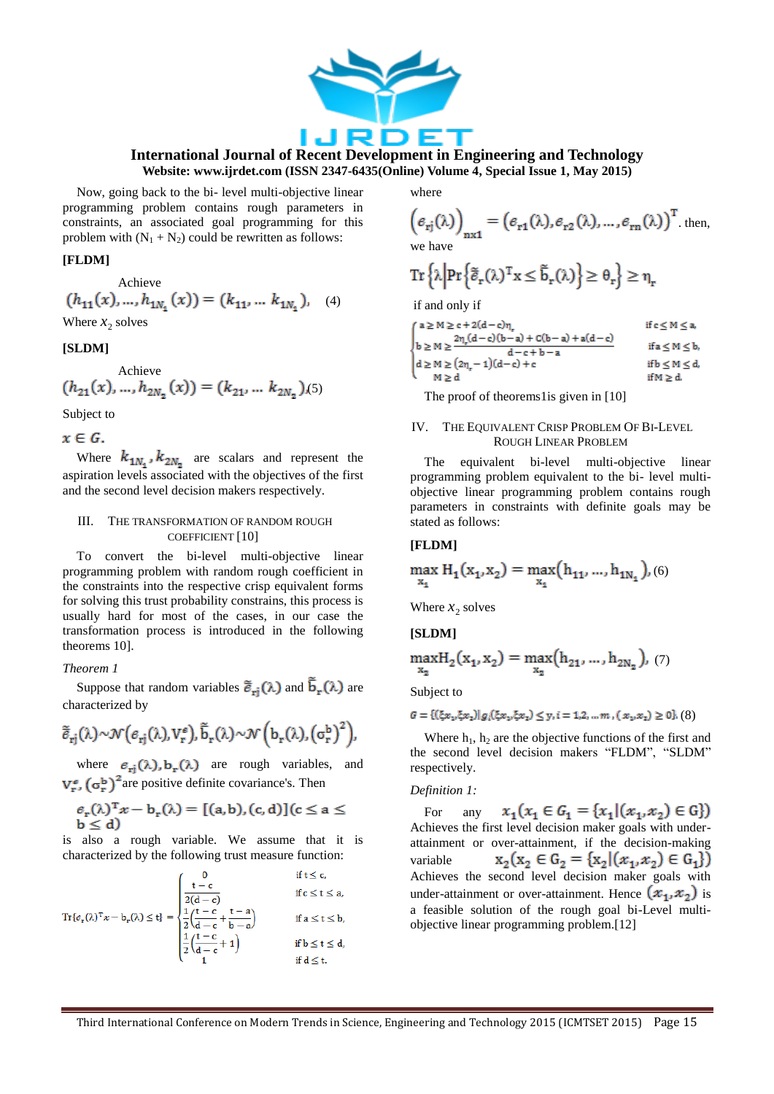

Now, going back to the bi- level multi-objective linear programming problem contains rough parameters in constraints, an associated goal programming for this problem with  $(N_1 + N_2)$  could be rewritten as follows:

#### **[FLDM]**

Achieve  

$$
(h_{11}(x),...,h_{1N_1}(x)) = (k_{11},...,k_{1N_1}),
$$
 (4)

Where  $x_2$  solves

#### **[SLDM]**

$$
\begin{array}{c} \textrm{Achieve} \\ (h_{21}(x),...,h_{2N_2}(x)) = (k_{21},\dots\,k_{2N_2}\,)(5) \end{array}
$$

Subject to

 $x \in G$ .

Where  $k_{1N_1}$ ,  $k_{2N_2}$  are scalars and represent the aspiration levels associated with the objectives of the first and the second level decision makers respectively.

# III. THE TRANSFORMATION OF RANDOM ROUGH COEFFICIENT [10]

To convert the bi-level multi-objective linear programming problem with random rough coefficient in the constraints into the respective crisp equivalent forms for solving this trust probability constrains, this process is usually hard for most of the cases, in our case the transformation process is introduced in the following theorems 10].

#### *Theorem 1*

Suppose that random variables  $\tilde{\vec{e}}_{ri}(\lambda)$  and  $\vec{b}_{r}(\lambda)$  are characterized by

$$
\tilde{\tilde{e}}_{rj}(\lambda) \sim \mathcal{N}(\varepsilon_{rj}(\lambda), V_r^{\varepsilon}), \tilde{b}_r(\lambda) \sim \mathcal{N}\left(b_r(\lambda), (\sigma_r^b)^2\right),
$$

where  $e_{ri}(\lambda)$ ,  $b_r(\lambda)$  are rough variables, and  $V_{r}^{\epsilon}$ ,  $(\sigma_{r}^{b})^{2}$  are positive definite covariance's. Then

$$
\begin{aligned} &\mathcal{e}_{\mathrm{r}}(\lambda)^{\mathrm{T}}x - b_{\mathrm{r}}(\lambda) = [(a,b),(c,d)](c \leq a \leq b \leq d) \end{aligned}
$$

is also a rough variable. We assume that it is characterized by the following trust measure function:

$$
\mathrm{Tr}\{e_r(\lambda)^T x - b_r(\lambda) \le t\} = \begin{cases} 0 & \text{if } t \le c, \\ \frac{t - c}{2(d - c)} & \text{if } c \le t \le a, \\ \frac{1}{2} \left( \frac{t - c}{d - c} + \frac{t - a}{b - a} \right) & \text{if } a \le t \le b, \\ \frac{1}{2} \left( \frac{t - c}{d - c} + 1 \right) & \text{if } b \le t \le d, \\ 1 & \text{if } d \le t. \end{cases}
$$

where

$$
\left(\mathbf{\mathbf{\epsilon}}_{\mathbf{r}j}(\lambda)\right)_{\mathbf{n} \times \mathbf{1}} = \left(\mathbf{\mathbf{\epsilon}}_{\mathbf{r}1}(\lambda), \mathbf{\mathbf{\epsilon}}_{\mathbf{r}2}(\lambda), \dots, \mathbf{\mathbf{\epsilon}}_{\mathbf{r}n}(\lambda)\right)^{\mathbf{T}}.\text{ then,}
$$
\nwe have

$$
\operatorname{Tr}\left\{\lambda \middle| \operatorname{Pr}\left\{\tilde{\tilde{e}}_{r}(\lambda)^{T}x \leq \tilde{b}_{r}(\lambda)\right\} \geq \theta_{r}\right\} \geq \eta_{r}
$$

if and only if

| $a \ge M \ge c + 2(d - c)\eta$                                           | ifc≤M≤a,               |
|--------------------------------------------------------------------------|------------------------|
| $b \ge M \ge \frac{2\eta_r(d-c)(b-a) + C(b-a) + a(d-c)}{2}$<br>$d-c+b-a$ | if $a \leq M \leq b$ , |
| $d \ge M \ge (2\eta_r - 1)(d - c) + c$                                   | if $b \leq M \leq d$ , |
| M > d                                                                    | if $M > d$ .           |

The proof of theorems1is given in [10]

#### IV. THE EQUIVALENT CRISP PROBLEM OF BI-LEVEL ROUGH LINEAR PROBLEM

The equivalent bi-level multi-objective linear programming problem equivalent to the bi- level multiobjective linear programming problem contains rough parameters in constraints with definite goals may be stated as follows:

# **[FLDM]**

$$
\max_{x_1} H_1(x_1, x_2) = \max_{x_1} (h_{11}, ..., h_{1N_1}), (6)
$$

Where  $x_2$  solves

**[SLDM]**

$$
\max_{x_2} H_2(x_1, x_2) = \max_{x_2} (h_{21}, \dots, h_{2N_2}), (7)
$$

Subject to

$$
G = \{ (\xi x_1, \xi x_2) | g_i(\xi x_1, \xi x_2) \le y, i = 1, 2, ..., m, (x_1, x_2) \ge 0 \}, (8)
$$

Where  $h_1$ ,  $h_2$  are the objective functions of the first and the second level decision makers "FLDM", "SLDM" respectively.

#### *Definition 1:*

 $x_1(x_1 \in G_1 = \{x_1 | (x_1, x_2) \in G\})$ For any Achieves the first level decision maker goals with underattainment or over-attainment, if the decision-making  $x_2(x_2 \in G_2 = \{x_2 | (x_1, x_2) \in G_1\})$ variable Achieves the second level decision maker goals with under-attainment or over-attainment. Hence  $(x_1, x_2)$  is a feasible solution of the rough goal bi-Level multiobjective linear programming problem.[12]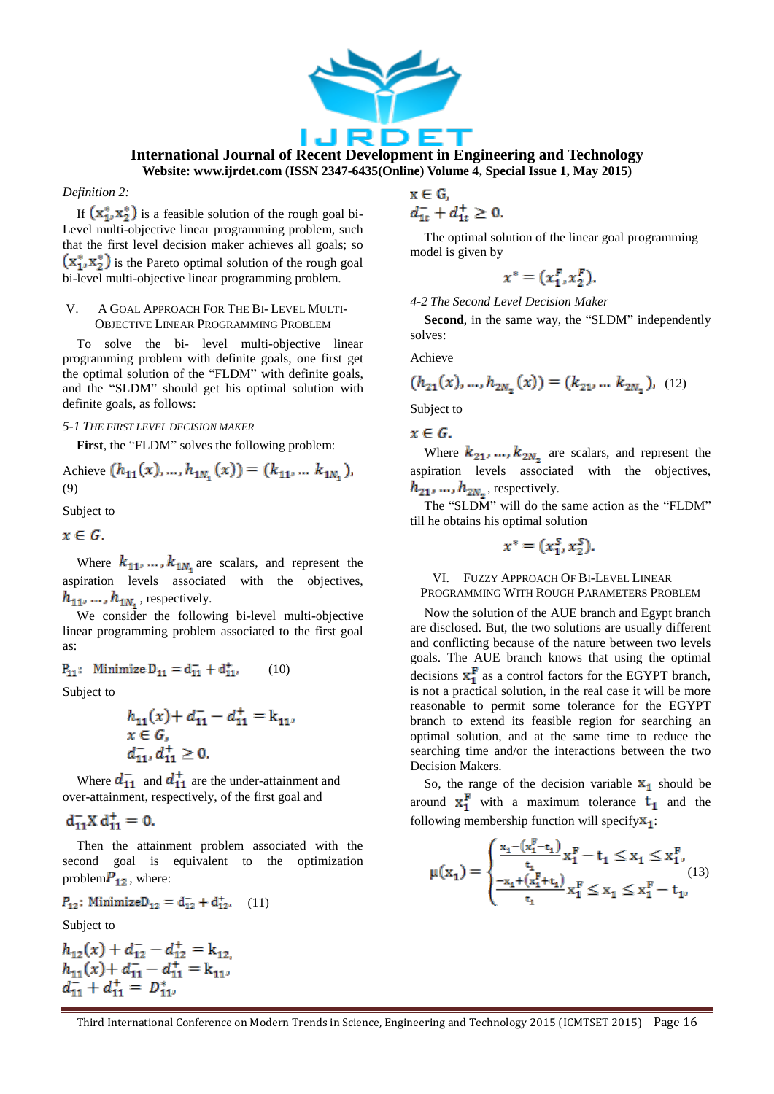

*Definition 2:*

If  $(x_1^*, x_2^*)$  is a feasible solution of the rough goal bi-Level multi-objective linear programming problem, such that the first level decision maker achieves all goals; so  $(x_1^*, x_2^*)$  is the Pareto optimal solution of the rough goal bi-level multi-objective linear programming problem.

#### V. A GOAL APPROACH FOR THE BI- LEVEL MULTI-OBJECTIVE LINEAR PROGRAMMING PROBLEM

To solve the bi- level multi-objective linear programming problem with definite goals, one first get the optimal solution of the "FLDM" with definite goals, and the "SLDM" should get his optimal solution with definite goals, as follows:

#### *5-1 THE FIRST LEVEL DECISION MAKER*

First, the "FLDM" solves the following problem:

$$
A\text{chieve } (h_{11}(x), \dots, h_{1N_1}(x)) = (k_{11}, \dots, k_{1N_1}),
$$
\n(9)

Subject to

 $x \in G$ .

Where  $k_{11}, \ldots, k_{1N_1}$  are scalars, and represent the aspiration levels associated with the objectives,  $h_{11}, \ldots, h_{1N_s}$ , respectively.

We consider the following bi-level multi-objective linear programming problem associated to the first goal as:

$$
P_{11}: \text{ Minimize } D_{11} = d_{11}^- + d_{11}^+, \qquad (10)
$$

Subject to

$$
h_{11}(x) + d_{11}^{-} - d_{11}^{+} = k_{11},
$$
  

$$
x \in G,
$$
  

$$
d_{11}^{-}, d_{11}^{+} \ge 0.
$$

Where  $d_{11}^-$  and  $d_{11}^+$  are the under-attainment and over-attainment, respectively, of the first goal and

$$
d_{11}^- X d_{11}^+ = 0.
$$

Then the attainment problem associated with the second goal is equivalent to the optimization problem $P_{12}$ , where:

$$
P_{12}: \text{Minimize} \mathsf{D}_{12} = \mathsf{d}_{12}^- + \mathsf{d}_{12}^*, \quad (11)
$$

Subject to

$$
h_{12}(x) + d_{12}^{-} - d_{12}^{+} = k_{12},
$$
  
\n
$$
h_{11}(x) + d_{11}^{-} - d_{11}^{+} = k_{11},
$$
  
\n
$$
d_{11}^{-} + d_{11}^{+} = D_{11}^{*},
$$

# $x \in G$ ,

 $d_{1t}^- + d_{1t}^+ \geq 0.$ 

The optimal solution of the linear goal programming model is given by

$$
x^* = (x_1^F, x_2^F).
$$

*4-2 The Second Level Decision Maker*

Second, in the same way, the "SLDM" independently solves:

Achieve

$$
(h_{21}(x),...,h_{2N_2}(x)) = (k_{21},...,k_{2N_2}), (12)
$$

Subject to

 $x \in G$ .

Where  $k_{21}, ..., k_{2N_n}$  are scalars, and represent the aspiration levels associated with the objectives,  $h_{21},...,h_{2N_{2}}$ , respectively.

The "SLDM" will do the same action as the "FLDM" till he obtains his optimal solution

$$
x^* = (x_1^S, x_2^S).
$$

#### VI. FUZZY APPROACH OF BI-LEVEL LINEAR PROGRAMMING WITH ROUGH PARAMETERS PROBLEM

Now the solution of the AUE branch and Egypt branch are disclosed. But, the two solutions are usually different and conflicting because of the nature between two levels goals. The AUE branch knows that using the optimal decisions  $x_1^F$  as a control factors for the EGYPT branch, is not a practical solution, in the real case it will be more reasonable to permit some tolerance for the EGYPT branch to extend its feasible region for searching an optimal solution, and at the same time to reduce the searching time and/or the interactions between the two Decision Makers.

So, the range of the decision variable  $x_1$  should be around  $x_1^F$  with a maximum tolerance  $t_1$  and the following membership function will specify $\mathbf{x}_1$ :

$$
\mu(x_1)=\begin{cases} \frac{x_1-(x_1^F-t_1)}{t_1}x_1^F-t_1\leq x_1\leq x_1^F,\\ \frac{-x_1+(x_1^F+t_1)}{t_1}x_1^F\leq x_1\leq x_1^F-t_1,\end{cases}\quad (13)
$$

Third International Conference on Modern Trends in Science, Engineering and Technology 2015 (ICMTSET 2015) Page 16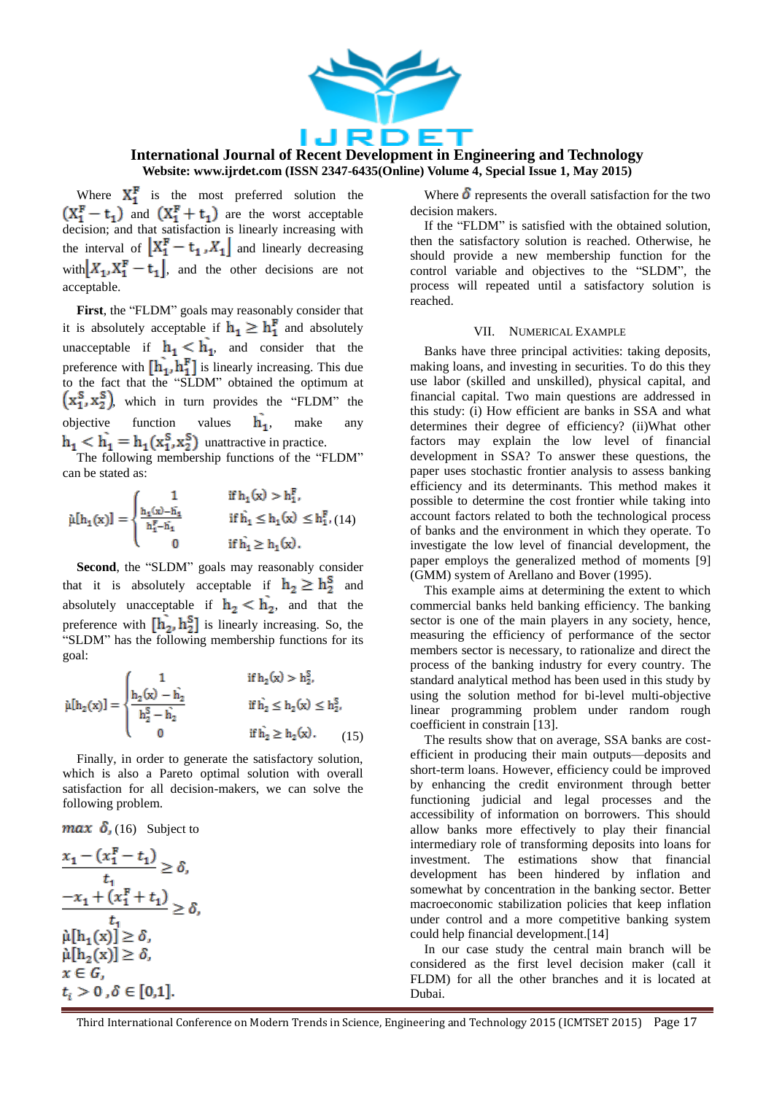

**International Journal of Recent Development in Engineering and Technology Website: www.ijrdet.com (ISSN 2347-6435(Online) Volume 4, Special Issue 1, May 2015)**

Where  $X_1^F$  is the most preferred solution the and  $(X_1^{\mathbf{r}} + t_1)$  are the worst acceptable decision; and that satisfaction is linearly increasing with the interval of  $\left[ X_1^F - t_1, X_1 \right]$  and linearly decreasing with  $X_1, X_1^F - t_1$ , and the other decisions are not acceptable.

First, the "FLDM" goals may reasonably consider that it is absolutely acceptable if  $h_1 \geq h_1^r$  and absolutely unacceptable if  $h_1 < h_1$ , and consider that the preference with  $\left[\mathbf{h}_1, \mathbf{h}_1^{\text{r}}\right]$  is linearly increasing. This due to the fact that the "SLDM" obtained the optimum at  $(x_1^S, x_2^S)$ , which in turn provides the "FLDM" the objective function values  $\hat{h_1}$ , make any unattractive in practice.

The following membership functions of the "FLDM" can be stated as:

$$
\tilde{\mu}[h_1(x)] = \begin{cases} 1 & \text{ if } h_1(x) > h_1^F, \\ \frac{h_1(x) - h_1}{h_1^F - h_1} & \text{ if } \hat{h_1} \leq h_1(x) \leq h_1^F, \\ 0 & \text{ if } \hat{h_1} \geq h_1(x) . \end{cases}
$$

Second, the "SLDM" goals may reasonably consider that it is absolutely acceptable if  $h_2 \geq h_2^S$  and absolutely unacceptable if  $h_2 < h_2$ , and that the preference with  $\left[\mathbf{h}_2, \mathbf{h}_2^{\mathbf{S}}\right]$  is linearly increasing. So, the "SLDM" has the following membership functions for its goal:

$$
\tilde{\mu}[h_2(x)] = \begin{cases} 1 & \text{if } h_2(x) > h_2^S, \\ \frac{h_2(x) - \tilde{h_2}}{h_2^S - \tilde{h_2}} & \text{if } \tilde{h_2} \le h_2(x) \le h_2^S, \\ 0 & \text{if } \tilde{h_2} \ge h_2(x). \end{cases}
$$
(15)

Finally, in order to generate the satisfactory solution, which is also a Pareto optimal solution with overall satisfaction for all decision-makers, we can solve the following problem.

# $max \delta$ , (16) Subject to

$$
\frac{x_1 - (x_1^{\mathbf{F}} - t_1)}{t_1} \ge \delta,
$$
\n
$$
\frac{-x_1 + (x_1^{\mathbf{F}} + t_1)}{t_1} \ge \delta,
$$
\n
$$
\hat{\mu}[h_1(x)] \ge \delta,
$$
\n
$$
\hat{\mu}[h_2(x)] \ge \delta,
$$
\n
$$
x \in G,
$$
\n
$$
t_i > 0, \delta \in [0,1].
$$

Where  $\delta$  represents the overall satisfaction for the two decision makers.

If the "FLDM" is satisfied with the obtained solution, then the satisfactory solution is reached. Otherwise, he should provide a new membership function for the control variable and objectives to the "SLDM", the process will repeated until a satisfactory solution is reached.

#### VII. NUMERICAL EXAMPLE

Banks have three principal activities: taking deposits, making loans, and investing in securities. To do this they use labor (skilled and unskilled), physical capital, and financial capital. Two main questions are addressed in this study: (i) How efficient are banks in SSA and what determines their degree of efficiency? (ii)What other factors may explain the low level of financial development in SSA? To answer these questions, the paper uses stochastic frontier analysis to assess banking efficiency and its determinants. This method makes it possible to determine the cost frontier while taking into account factors related to both the technological process of banks and the environment in which they operate. To investigate the low level of financial development, the paper employs the generalized method of moments [9] (GMM) system of Arellano and Bover (1995).

This example aims at determining the extent to which commercial banks held banking efficiency. The banking sector is one of the main players in any society, hence, measuring the efficiency of performance of the sector members sector is necessary, to rationalize and direct the process of the banking industry for every country. The standard analytical method has been used in this study by using the solution method for bi-level multi-objective linear programming problem under random rough coefficient in constrain [13].

The results show that on average, SSA banks are costefficient in producing their main outputs—deposits and short-term loans. However, efficiency could be improved by enhancing the credit environment through better functioning judicial and legal processes and the accessibility of information on borrowers. This should allow banks more effectively to play their financial intermediary role of transforming deposits into loans for investment. The estimations show that financial development has been hindered by inflation and somewhat by concentration in the banking sector. Better macroeconomic stabilization policies that keep inflation under control and a more competitive banking system could help financial development.[14]

In our case study the central main branch will be considered as the first level decision maker (call it FLDM) for all the other branches and it is located at Dubai.

Third International Conference on Modern Trends in Science, Engineering and Technology 2015 (ICMTSET 2015) Page 17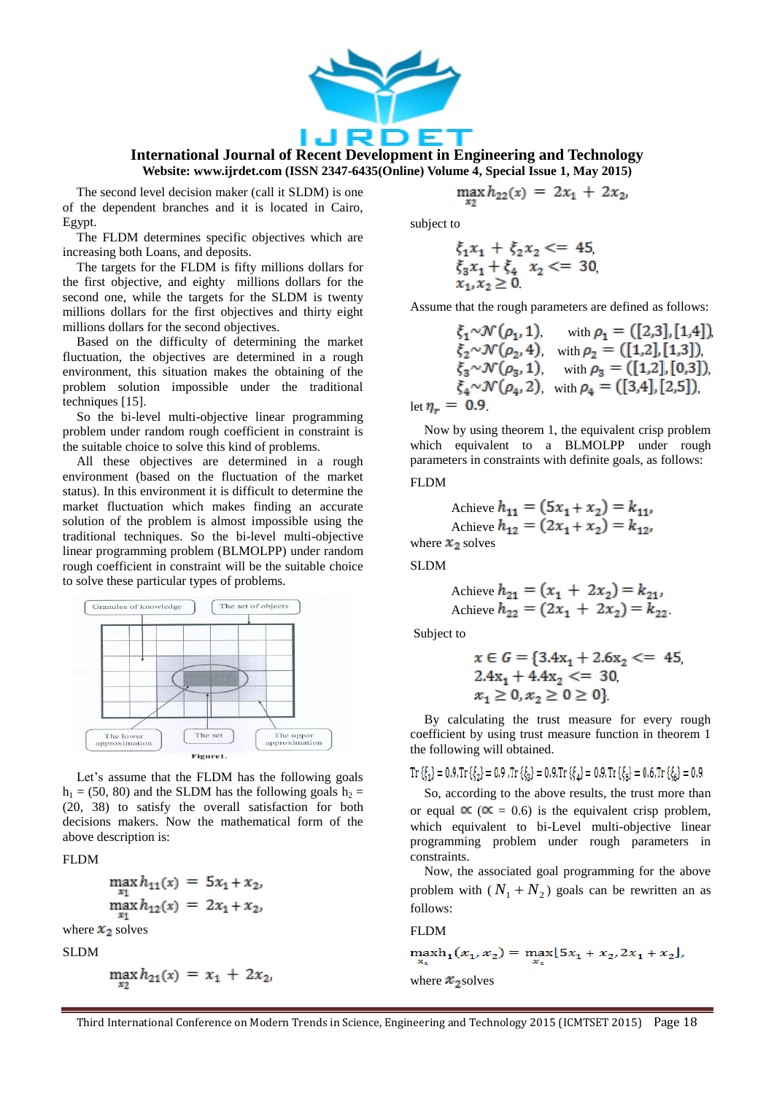

The second level decision maker (call it SLDM) is one of the dependent branches and it is located in Cairo, Egypt.

The FLDM determines specific objectives which are increasing both Loans, and deposits.

The targets for the FLDM is fifty millions dollars for the first objective, and eighty millions dollars for the second one, while the targets for the SLDM is twenty millions dollars for the first objectives and thirty eight millions dollars for the second objectives.

Based on the difficulty of determining the market fluctuation, the objectives are determined in a rough environment, this situation makes the obtaining of the problem solution impossible under the traditional techniques [15].

So the bi-level multi-objective linear programming problem under random rough coefficient in constraint is the suitable choice to solve this kind of problems.

All these objectives are determined in a rough environment (based on the fluctuation of the market status). In this environment it is difficult to determine the market fluctuation which makes finding an accurate solution of the problem is almost impossible using the traditional techniques. So the bi-level multi-objective linear programming problem (BLMOLPP) under random rough coefficient in constraint will be the suitable choice to solve these particular types of problems.



Let's assume that the FLDM has the following goals  $h_1 = (50, 80)$  and the SLDM has the following goals  $h_2 =$ (20, 38) to satisfy the overall satisfaction for both decisions makers. Now the mathematical form of the above description is:

#### FLDM

$$
\max_{x_1} h_{11}(x) = 5x_1 + x_2,
$$
  

$$
\max_{x_1} h_{12}(x) = 2x_1 + x_2,
$$

where  $x_2$  solves

SLDM

$$
\max_{x_2} h_{21}(x) = x_1 + 2x_2,
$$

$$
\max_{x_2}(x) = 2x_1 + 2x_2
$$

subject to

$$
\xi_1 x_1 + \xi_2 x_2 \le 45,\n\xi_3 x_1 + \xi_4 \quad x_2 \le 30,\n\xi_1, x_2 \ge 0
$$

Assume that the rough parameters are defined as follows:

$$
\xi_1 \sim \mathcal{N}(\rho_1, 1), \quad \text{with } \rho_1 = ([2,3], [1,4]),
$$
\n
$$
\xi_2 \sim \mathcal{N}(\rho_2, 4), \quad \text{with } \rho_2 = ([1,2], [1,3]),
$$
\n
$$
\xi_3 \sim \mathcal{N}(\rho_3, 1), \quad \text{with } \rho_3 = ([1,2], [0,3]),
$$
\n
$$
\xi_4 \sim \mathcal{N}(\rho_4, 2), \quad \text{with } \rho_4 = ([3,4], [2,5]),
$$
\nlet  $\eta_r = 0.9$ 

Now by using theorem 1, the equivalent crisp problem which equivalent to a BLMOLPP under rough parameters in constraints with definite goals, as follows:

FLDM

$$
\text{Achieve } h_{11} = (5x_1 + x_2) = k_{11}
$$
\n
$$
\text{Achieve } h_{12} = (2x_1 + x_2) = k_{12}
$$
\n
$$
\text{where } x_2 \text{ solves}
$$

SLDM

$$
A\text{chieve } h_{21} = (x_1 + 2x_2) = k_{21},
$$
  

$$
A\text{chieve } h_{22} = (2x_1 + 2x_2) = k_{22}.
$$

Subject to

$$
x \in G = \{3.4x_1 + 2.6x_2 \le 45, 2.4x_1 + 4.4x_2 \le 30, 2.4x_1 \ge 0, x_2 \ge 0 \ge 0\}
$$

By calculating the trust measure for every rough coefficient by using trust measure function in theorem 1 the following will obtained.

$$
\mathrm{Tr}\left\{\xi_{1}\right\}=0.9,\mathrm{Tr}\left\{\xi_{2}\right\}=0.9\,,\mathrm{Tr}\left\{\xi_{2}\right\}=0.9,\mathrm{Tr}\left\{\xi_{4}\right\}=0.9,\mathrm{Tr}\left\{\xi_{5}\right\}=0.6,\mathrm{Tr}\left\{\xi_{6}\right\}=0.9.
$$

So, according to the above results, the trust more than or equal  $\alpha$  ( $\alpha$  = 0.6) is the equivalent crisp problem, which equivalent to bi-Level multi-objective linear programming problem under rough parameters in constraints.

Now, the associated goal programming for the above problem with  $(N_1 + N_2)$  goals can be rewritten an as follows:

FLDM

$$
\max_{x_1} h_1(x_1, x_2) = \max_{x_1} [5x_1 + x_2, 2x_1 + x_2],
$$
  
where  $x_2$  solves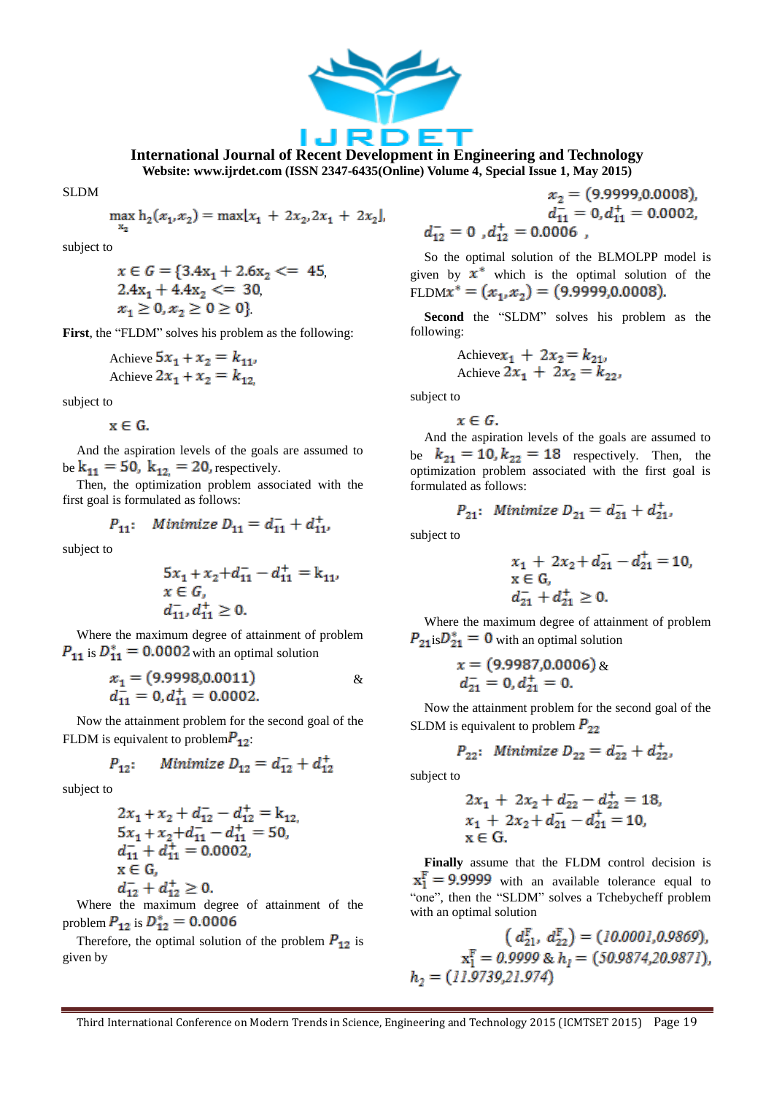

SLDM

$$
\max h_2(x_1, x_2) = \max [x_1 + 2x_2, 2x_1 + 2x_2]
$$

subject to

$$
x \in G = \{3.4x_1 + 2.6x_2 \le 45, 2.4x_1 + 4.4x_2 \le 30, 2.4x_1 \ge 0, x_2 \ge 0 \ge 0\}
$$

First, the "FLDM" solves his problem as the following:

$$
ext{Achieve } 5x_1 + x_2 = k_{11},
$$
  
Achieve  $2x_1 + x_2 = k_{12}$ 

subject to

 $x \in G$ .

And the aspiration levels of the goals are assumed to be  $k_{11} = 50$ ,  $k_{12} = 20$ , respectively.

Then, the optimization problem associated with the first goal is formulated as follows:

$$
P_{11}: \quad \text{Minimize } D_{11} = d_{11}^- + d_{11}^+,
$$

subject to

$$
5x1 + x2 + d11- - d11+ = k11,x \in G,d11+, d11+ \ge 0.
$$

Where the maximum degree of attainment of problem  $P_{11}$  is  $D_{11}^* = 0.0002$  with an optimal solution

$$
x_1 = (9.9998, 0.0011) \qquad \& \qquad x_2 = 0, d_{11}^+ = 0.0002.
$$

Now the attainment problem for the second goal of the FLDM is equivalent to problem $P_{12}$ .

$$
P_{12}; \hspace{0.5cm} \textit{Minimize } D_{12} = d_{12}^- + d_{12}^+
$$

subject to

$$
2x_1 + x_2 + d_{12} - d_{12} = k_{12},
$$
  
\n
$$
5x_1 + x_2 + d_{11} - d_{11} + d_{12} = 50,
$$
  
\n
$$
d_{11} + d_{11} + d_{12} = 0.0002,
$$
  
\n
$$
x \in G,
$$
  
\n
$$
d_{12} + d_{12} + d_{12} \ge 0.
$$

Where the maximum degree of attainment of the problem  $P_{12}$  is  $D_{12}^* = 0.0006$ 

Therefore, the optimal solution of the problem  $P_{12}$  is given by

$$
x_2 = (9.9999, 0.0008),
$$
  
\n
$$
d_{11}^{-} = 0, d_{11}^{+} = 0.0002,
$$
  
\n
$$
= 0, d_{12}^{+} = 0.0006,
$$

So the optimal solution of the BLMOLPP model is given by  $x^*$  which is the optimal solution of the FLDM $x^* = (x_1, x_2) = (9.9999, 0.0008).$ 

Second the "SLDM" solves his problem as the following:

$$
\begin{array}{l}\text{Achievex}_1 + 2x_2 = k_{21},\\ \text{Achiev} & 2x_1 + 2x_2 = k_{22}.\end{array}
$$

subject to

 $d_{12}^-$ 

$$
x\in G.
$$

And the aspiration levels of the goals are assumed to be  $k_{21} = 10, k_{22} = 18$  respectively. Then, the optimization problem associated with the first goal is formulated as follows:

$$
P_{21}: \text{ Minimize } D_{21} = d_{21}^- + d_{21}^+,
$$

subject to

$$
x_1 + 2x_2 + d_{21} - d_{21}^{+} = 10,
$$
  
\n
$$
x \in G,
$$
  
\n
$$
d_{21}^{-} + d_{21}^{+} \ge 0.
$$

Where the maximum degree of attainment of problem  $P_{21}$ is  $D_{21}^* = 0$  with an optimal solution

$$
x = (9.9987, 0.0006) \& d_{21}^- = 0, d_{21}^+ = 0.
$$

Now the attainment problem for the second goal of the SLDM is equivalent to problem  $P_{22}$ 

$$
P_{22}: \text{ Minimize } D_{22} = d_{22}^- + d_{22}^+,
$$

subject to

$$
2x_1 + 2x_2 + d_{22} - d_{22}^+ = 18,
$$
  
\n
$$
x_1 + 2x_2 + d_{21}^- - d_{21}^+ = 10,
$$
  
\n
$$
x \in G.
$$

**Finally** assume that the FLDM control decision is  $x_1^F = 9.9999$  with an available tolerance equal to "one", then the "SLDM" solves a Tchebycheff problem with an optimal solution

$$
(d_{21}^{F}, d_{22}^{F}) = (10.0001, 0.9869),
$$
  
\n
$$
\mathbf{x}_{1}^{F} = 0.9999 \& h_{1} = (50.9874, 20.9871),
$$
  
\n
$$
h_{2} = (11.9739, 21.974)
$$